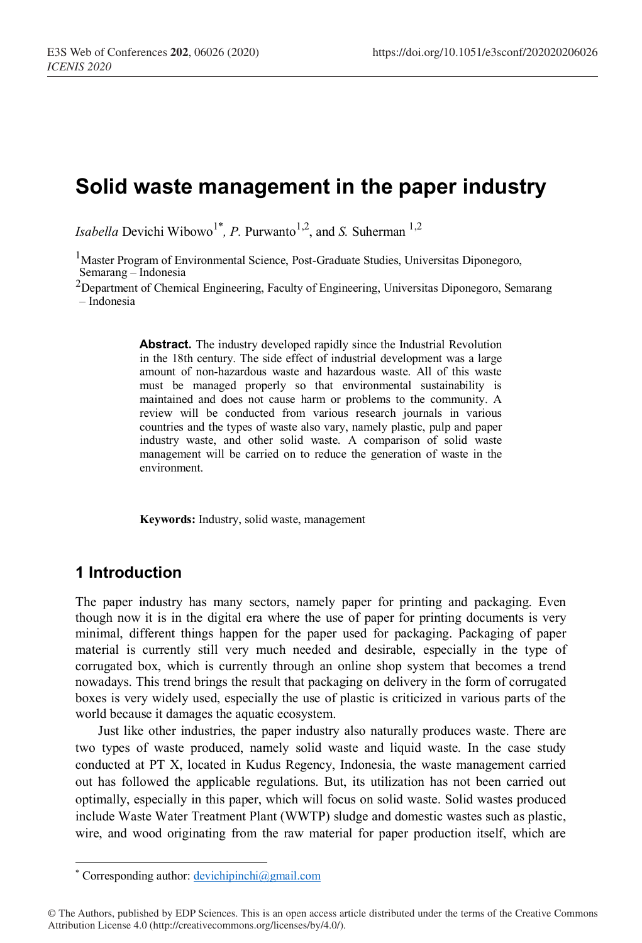# **Solid waste management in the paper industry**

*Isabella* Devichi Wibowo<sup>1\*</sup>, *P*. Purwanto<sup>1,2</sup>, and *S*. Suherman<sup>1,2</sup>

<sup>1</sup>Master Program of Environmental Science, Post-Graduate Studies, Universitas Diponegoro, Semarang – Indonesia

<sup>2</sup>Department of Chemical Engineering, Faculty of Engineering, Universitas Diponegoro, Semarang – Indonesia

> **Abstract.** The industry developed rapidly since the Industrial Revolution in the 18th century. The side effect of industrial development was a large amount of non-hazardous waste and hazardous waste. All of this waste must be managed properly so that environmental sustainability is maintained and does not cause harm or problems to the community. A review will be conducted from various research journals in various countries and the types of waste also vary, namely plastic, pulp and paper industry waste, and other solid waste. A comparison of solid waste management will be carried on to reduce the generation of waste in the environment.

**Keywords:** Industry, solid waste, management

## **1 Introduction**

 $\overline{a}$ 

The paper industry has many sectors, namely paper for printing and packaging. Even though now it is in the digital era where the use of paper for printing documents is very minimal, different things happen for the paper used for packaging. Packaging of paper material is currently still very much needed and desirable, especially in the type of corrugated box, which is currently through an online shop system that becomes a trend nowadays. This trend brings the result that packaging on delivery in the form of corrugated boxes is very widely used, especially the use of plastic is criticized in various parts of the world because it damages the aquatic ecosystem.

Just like other industries, the paper industry also naturally produces waste. There are two types of waste produced, namely solid waste and liquid waste. In the case study conducted at PT X, located in Kudus Regency, Indonesia, the waste management carried out has followed the applicable regulations. But, its utilization has not been carried out optimally, especially in this paper, which will focus on solid waste. Solid wastes produced include Waste Water Treatment Plant (WWTP) sludge and domestic wastes such as plastic, wire, and wood originating from the raw material for paper production itself, which are

<sup>\*</sup> Corresponding author: devichipinchi@gmail.com

<sup>©</sup> The Authors, published by EDP Sciences. This is an open access article distributed under the terms of the Creative Commons Attribution License 4.0 (http://creativecommons.org/licenses/by/4.0/).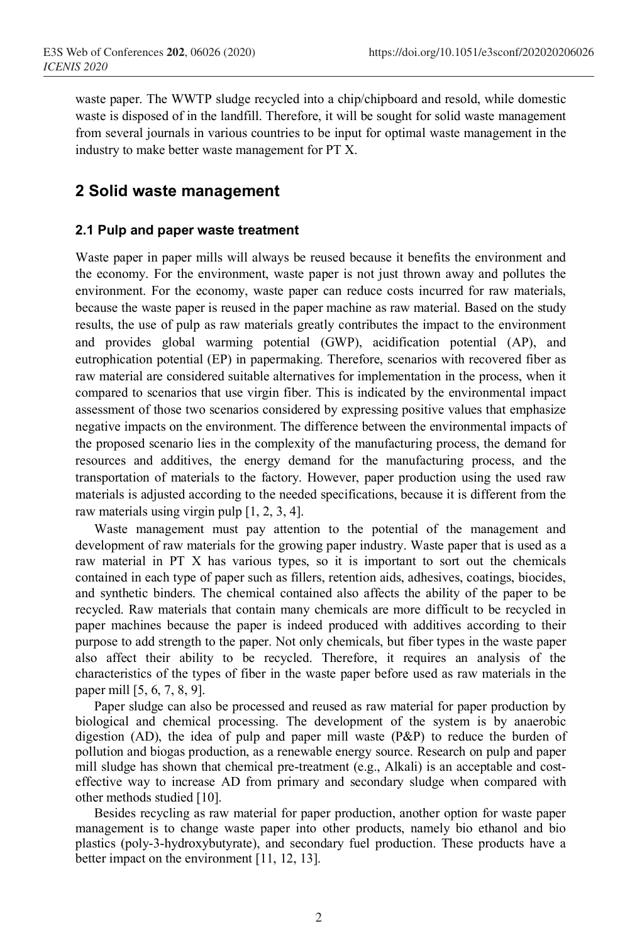waste paper. The WWTP sludge recycled into a chip/chipboard and resold, while domestic waste is disposed of in the landfill. Therefore, it will be sought for solid waste management from several journals in various countries to be input for optimal waste management in the industry to make better waste management for PT X.

## **2 Solid waste management**

#### **2.1 Pulp and paper waste treatment**

Waste paper in paper mills will always be reused because it benefits the environment and the economy. For the environment, waste paper is not just thrown away and pollutes the environment. For the economy, waste paper can reduce costs incurred for raw materials, because the waste paper is reused in the paper machine as raw material. Based on the study results, the use of pulp as raw materials greatly contributes the impact to the environment and provides global warming potential (GWP), acidification potential (AP), and eutrophication potential (EP) in papermaking. Therefore, scenarios with recovered fiber as raw material are considered suitable alternatives for implementation in the process, when it compared to scenarios that use virgin fiber. This is indicated by the environmental impact assessment of those two scenarios considered by expressing positive values that emphasize negative impacts on the environment. The difference between the environmental impacts of the proposed scenario lies in the complexity of the manufacturing process, the demand for resources and additives, the energy demand for the manufacturing process, and the transportation of materials to the factory. However, paper production using the used raw materials is adjusted according to the needed specifications, because it is different from the raw materials using virgin pulp [1, 2, 3, 4].

Waste management must pay attention to the potential of the management and development of raw materials for the growing paper industry. Waste paper that is used as a raw material in PT X has various types, so it is important to sort out the chemicals contained in each type of paper such as fillers, retention aids, adhesives, coatings, biocides, and synthetic binders. The chemical contained also affects the ability of the paper to be recycled. Raw materials that contain many chemicals are more difficult to be recycled in paper machines because the paper is indeed produced with additives according to their purpose to add strength to the paper. Not only chemicals, but fiber types in the waste paper also affect their ability to be recycled. Therefore, it requires an analysis of the characteristics of the types of fiber in the waste paper before used as raw materials in the paper mill [5, 6, 7, 8, 9].

Paper sludge can also be processed and reused as raw material for paper production by biological and chemical processing. The development of the system is by anaerobic digestion (AD), the idea of pulp and paper mill waste (P&P) to reduce the burden of pollution and biogas production, as a renewable energy source. Research on pulp and paper mill sludge has shown that chemical pre-treatment (e.g., Alkali) is an acceptable and costeffective way to increase AD from primary and secondary sludge when compared with other methods studied [10].

Besides recycling as raw material for paper production, another option for waste paper management is to change waste paper into other products, namely bio ethanol and bio plastics (poly-3-hydroxybutyrate), and secondary fuel production. These products have a better impact on the environment [11, 12, 13].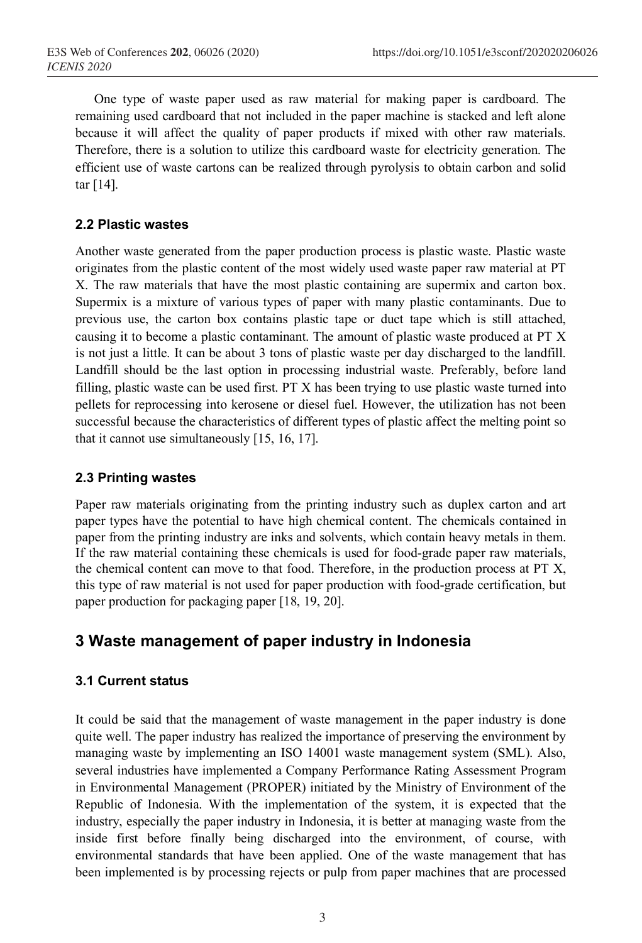One type of waste paper used as raw material for making paper is cardboard. The remaining used cardboard that not included in the paper machine is stacked and left alone because it will affect the quality of paper products if mixed with other raw materials. Therefore, there is a solution to utilize this cardboard waste for electricity generation. The efficient use of waste cartons can be realized through pyrolysis to obtain carbon and solid tar [14].

### **2.2 Plastic wastes**

Another waste generated from the paper production process is plastic waste. Plastic waste originates from the plastic content of the most widely used waste paper raw material at PT X. The raw materials that have the most plastic containing are supermix and carton box. Supermix is a mixture of various types of paper with many plastic contaminants. Due to previous use, the carton box contains plastic tape or duct tape which is still attached, causing it to become a plastic contaminant. The amount of plastic waste produced at PT X is not just a little. It can be about 3 tons of plastic waste per day discharged to the landfill. Landfill should be the last option in processing industrial waste. Preferably, before land filling, plastic waste can be used first. PT X has been trying to use plastic waste turned into pellets for reprocessing into kerosene or diesel fuel. However, the utilization has not been successful because the characteristics of different types of plastic affect the melting point so that it cannot use simultaneously [15, 16, 17].

### **2.3 Printing wastes**

Paper raw materials originating from the printing industry such as duplex carton and art paper types have the potential to have high chemical content. The chemicals contained in paper from the printing industry are inks and solvents, which contain heavy metals in them. If the raw material containing these chemicals is used for food-grade paper raw materials, the chemical content can move to that food. Therefore, in the production process at PT X, this type of raw material is not used for paper production with food-grade certification, but paper production for packaging paper [18, 19, 20].

# **3 Waste management of paper industry in Indonesia**

### **3.1 Current status**

It could be said that the management of waste management in the paper industry is done quite well. The paper industry has realized the importance of preserving the environment by managing waste by implementing an ISO 14001 waste management system (SML). Also, several industries have implemented a Company Performance Rating Assessment Program in Environmental Management (PROPER) initiated by the Ministry of Environment of the Republic of Indonesia. With the implementation of the system, it is expected that the industry, especially the paper industry in Indonesia, it is better at managing waste from the inside first before finally being discharged into the environment, of course, with environmental standards that have been applied. One of the waste management that has been implemented is by processing rejects or pulp from paper machines that are processed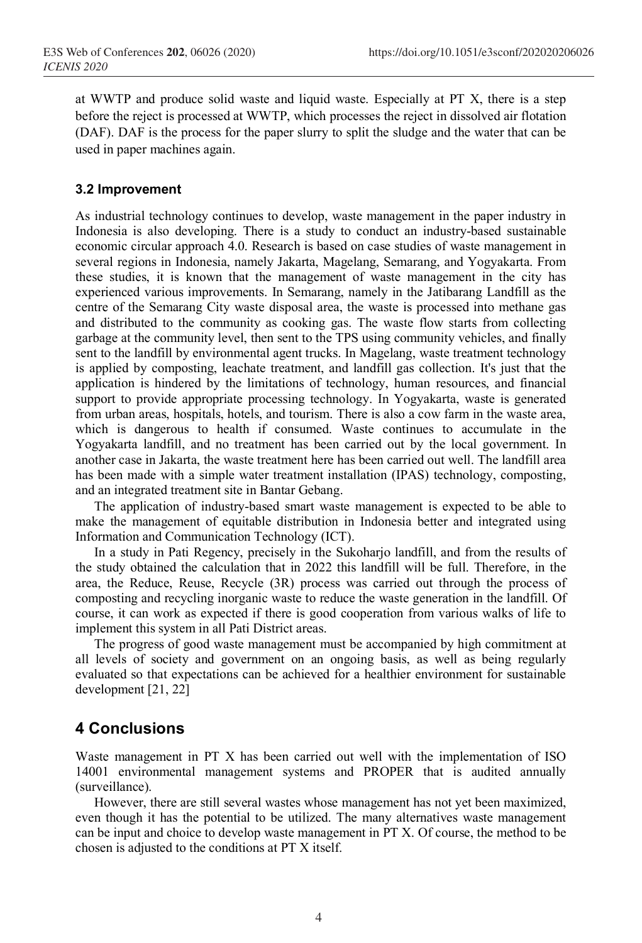at WWTP and produce solid waste and liquid waste. Especially at PT X, there is a step before the reject is processed at WWTP, which processes the reject in dissolved air flotation (DAF). DAF is the process for the paper slurry to split the sludge and the water that can be used in paper machines again.

### **3.2 Improvement**

As industrial technology continues to develop, waste management in the paper industry in Indonesia is also developing. There is a study to conduct an industry-based sustainable economic circular approach 4.0. Research is based on case studies of waste management in several regions in Indonesia, namely Jakarta, Magelang, Semarang, and Yogyakarta. From these studies, it is known that the management of waste management in the city has experienced various improvements. In Semarang, namely in the Jatibarang Landfill as the centre of the Semarang City waste disposal area, the waste is processed into methane gas and distributed to the community as cooking gas. The waste flow starts from collecting garbage at the community level, then sent to the TPS using community vehicles, and finally sent to the landfill by environmental agent trucks. In Magelang, waste treatment technology is applied by composting, leachate treatment, and landfill gas collection. It's just that the application is hindered by the limitations of technology, human resources, and financial support to provide appropriate processing technology. In Yogyakarta, waste is generated from urban areas, hospitals, hotels, and tourism. There is also a cow farm in the waste area, which is dangerous to health if consumed. Waste continues to accumulate in the Yogyakarta landfill, and no treatment has been carried out by the local government. In another case in Jakarta, the waste treatment here has been carried out well. The landfill area has been made with a simple water treatment installation (IPAS) technology, composting, and an integrated treatment site in Bantar Gebang.

The application of industry-based smart waste management is expected to be able to make the management of equitable distribution in Indonesia better and integrated using Information and Communication Technology (ICT).

In a study in Pati Regency, precisely in the Sukoharjo landfill, and from the results of the study obtained the calculation that in 2022 this landfill will be full. Therefore, in the area, the Reduce, Reuse, Recycle (3R) process was carried out through the process of composting and recycling inorganic waste to reduce the waste generation in the landfill. Of course, it can work as expected if there is good cooperation from various walks of life to implement this system in all Pati District areas.

The progress of good waste management must be accompanied by high commitment at all levels of society and government on an ongoing basis, as well as being regularly evaluated so that expectations can be achieved for a healthier environment for sustainable development [21, 22]

# **4 Conclusions**

Waste management in PT X has been carried out well with the implementation of ISO 14001 environmental management systems and PROPER that is audited annually (surveillance).

However, there are still several wastes whose management has not yet been maximized, even though it has the potential to be utilized. The many alternatives waste management can be input and choice to develop waste management in PT X. Of course, the method to be chosen is adjusted to the conditions at PT X itself.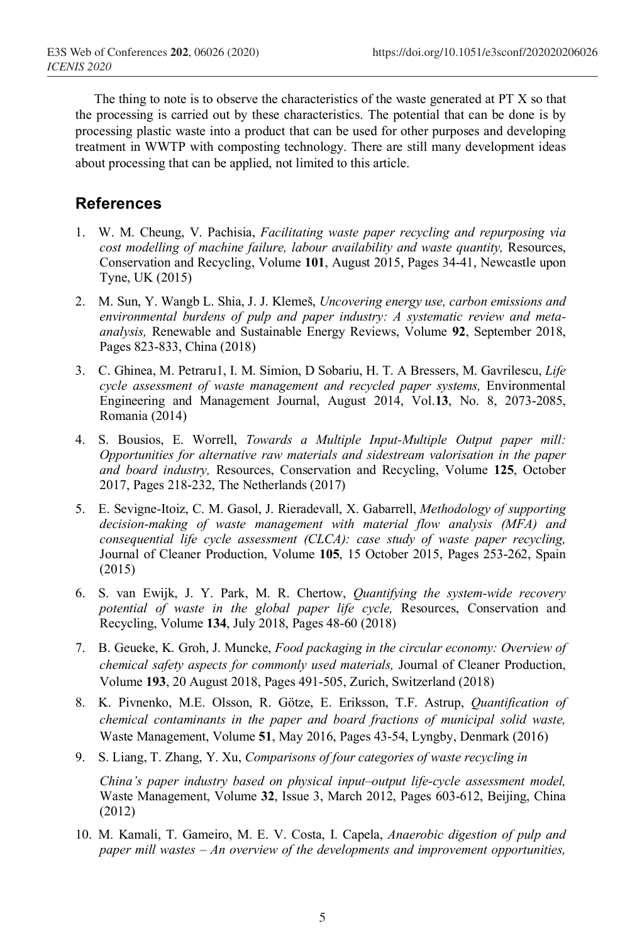The thing to note is to observe the characteristics of the waste generated at PT X so that the processing is carried out by these characteristics. The potential that can be done is by processing plastic waste into a product that can be used for other purposes and developing treatment in WWTP with composting technology. There are still many development ideas about processing that can be applied, not limited to this article.

### **References**

- 1. W. M. Cheung, V. Pachisia, *Facilitating waste paper recycling and repurposing via cost modelling of machine failure, labour availability and waste quantity,* Resources, Conservation and Recycling, Volume **101**, August 2015, Pages 34-41, Newcastle upon Tyne, UK (2015)
- 2. M. Sun, Y. Wangb L. Shia, J. J. Klemeš, *Uncovering energy use, carbon emissions and environmental burdens of pulp and paper industry: A systematic review and metaanalysis,* Renewable and Sustainable Energy Reviews, Volume **92**, September 2018, Pages 823-833, China (2018)
- 3. C. Ghinea, M. Petraru1, I. M. Simion, D Sobariu, H. T. A Bressers, M. Gavrilescu, *Life cycle assessment of waste management and recycled paper systems,* Environmental Engineering and Management Journal, August 2014, Vol.**13**, No. 8, 2073-2085, Romania (2014)
- 4. S. Bousios, E. Worrell, *Towards a Multiple Input-Multiple Output paper mill: Opportunities for alternative raw materials and sidestream valorisation in the paper and board industry,* Resources, Conservation and Recycling, Volume **125**, October 2017, Pages 218-232, The Netherlands (2017)
- 5. E. Sevigne-Itoiz, C. M. Gasol, J. Rieradevall, X. Gabarrell, *Methodology of supporting decision-making of waste management with material flow analysis (MFA) and consequential life cycle assessment (CLCA): case study of waste paper recycling,*  Journal of Cleaner Production, Volume **105**, 15 October 2015, Pages 253-262, Spain (2015)
- 6. S. van Ewijk, J. Y. Park, M. R. Chertow, *Quantifying the system-wide recovery potential of waste in the global paper life cycle,* Resources, Conservation and Recycling, Volume **134**, July 2018, Pages 48-60 (2018)
- 7. B. Geueke, K. Groh, J. Muncke, *Food packaging in the circular economy: Overview of chemical safety aspects for commonly used materials,* Journal of Cleaner Production, Volume **193**, 20 August 2018, Pages 491-505, Zurich, Switzerland (2018)
- 8. K. Pivnenko, M.E. Olsson, R. Götze, E. Eriksson, T.F. Astrup, *Quantification of chemical contaminants in the paper and board fractions of municipal solid waste,* Waste Management, Volume **51**, May 2016, Pages 43-54, Lyngby, Denmark (2016)
- 9. S. Liang, T. Zhang, Y. Xu, *Comparisons of four categories of waste recycling in*

*China's paper industry based on physical input–output life-cycle assessment model,* Waste Management, Volume **32**, Issue 3, March 2012, Pages 603-612, Beijing, China (2012)

10. M. Kamali, T. Gameiro, M. E. V. Costa, I. Capela, *Anaerobic digestion of pulp and paper mill wastes – An overview of the developments and improvement opportunities,*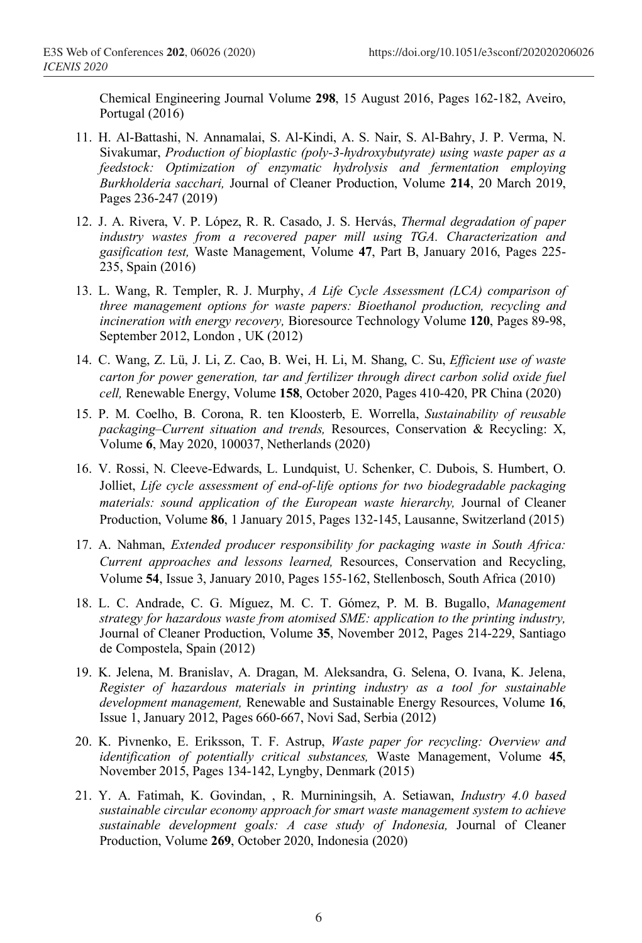Chemical Engineering Journal Volume **298**, 15 August 2016, Pages 162-182, Aveiro, Portugal (2016)

- 11. H. Al-Battashi, N. Annamalai, S. Al-Kindi, A. S. Nair, S. Al-Bahry, J. P. Verma, N. Sivakumar, *Production of bioplastic (poly-3-hydroxybutyrate) using waste paper as a feedstock: Optimization of enzymatic hydrolysis and fermentation employing Burkholderia sacchari,* Journal of Cleaner Production, Volume **214**, 20 March 2019, Pages 236-247 (2019)
- 12. J. A. Rivera, V. P. López, R. R. Casado, J. S. Hervás, *Thermal degradation of paper industry wastes from a recovered paper mill using TGA. Characterization and gasification test,* Waste Management, Volume **47**, Part B, January 2016, Pages 225- 235, Spain (2016)
- 13. L. Wang, R. Templer, R. J. Murphy, *A Life Cycle Assessment (LCA) comparison of three management options for waste papers: Bioethanol production, recycling and incineration with energy recovery,* Bioresource Technology Volume **120**, Pages 89-98, September 2012, London , UK (2012)
- 14. C. Wang, Z. Lü, J. Li, Z. Cao, B. Wei, H. Li, M. Shang, C. Su, *Efficient use of waste carton for power generation, tar and fertilizer through direct carbon solid oxide fuel cell,* Renewable Energy, Volume **158**, October 2020, Pages 410-420, PR China (2020)
- 15. P. M. Coelho, B. Corona, R. ten Kloosterb, E. Worrella, *Sustainability of reusable packaging–Current situation and trends,* Resources, Conservation & Recycling: X, Volume **6**, May 2020, 100037, Netherlands (2020)
- 16. V. Rossi, N. Cleeve-Edwards, L. Lundquist, U. Schenker, C. Dubois, S. Humbert, O. Jolliet, *Life cycle assessment of end-of-life options for two biodegradable packaging materials: sound application of the European waste hierarchy,* Journal of Cleaner Production, Volume **86**, 1 January 2015, Pages 132-145, Lausanne, Switzerland (2015)
- 17. A. Nahman, *Extended producer responsibility for packaging waste in South Africa: Current approaches and lessons learned,* Resources, Conservation and Recycling, Volume **54**, Issue 3, January 2010, Pages 155-162, Stellenbosch, South Africa (2010)
- 18. L. C. Andrade, C. G. Míguez, M. C. T. Gómez, P. M. B. Bugallo, *Management strategy for hazardous waste from atomised SME: application to the printing industry,*  Journal of Cleaner Production, Volume **35**, November 2012, Pages 214-229, Santiago de Compostela, Spain (2012)
- 19. K. Jelena, M. Branislav, A. Dragan, M. Aleksandra, G. Selena, O. Ivana, K. Jelena, *Register of hazardous materials in printing industry as a tool for sustainable development management,* Renewable and Sustainable Energy Resources, Volume **16**, Issue 1, January 2012, Pages 660-667, Novi Sad, Serbia (2012)
- 20. K. Pivnenko, E. Eriksson, T. F. Astrup, *Waste paper for recycling: Overview and identification of potentially critical substances,* Waste Management, Volume **45**, November 2015, Pages 134-142, Lyngby, Denmark (2015)
- 21. Y. A. Fatimah, K. Govindan, , R. Murniningsih, A. Setiawan, *Industry 4.0 based sustainable circular economy approach for smart waste management system to achieve sustainable development goals: A case study of Indonesia,* Journal of Cleaner Production, Volume **269**, October 2020, Indonesia (2020)